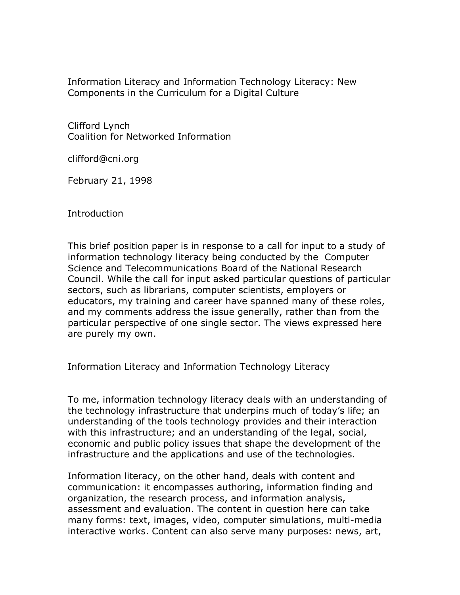Information Literacy and Information Technology Literacy: New Components in the Curriculum for a Digital Culture

Clifford Lynch Coalition for Networked Information

clifford@cni.org

February 21, 1998

Introduction

This brief position paper is in response to a call for input to a study of information technology literacy being conducted by the Computer Science and Telecommunications Board of the National Research Council. While the call for input asked particular questions of particular sectors, such as librarians, computer scientists, employers or educators, my training and career have spanned many of these roles, and my comments address the issue generally, rather than from the particular perspective of one single sector. The views expressed here are purely my own.

Information Literacy and Information Technology Literacy

To me, information technology literacy deals with an understanding of the technology infrastructure that underpins much of today's life; an understanding of the tools technology provides and their interaction with this infrastructure; and an understanding of the legal, social, economic and public policy issues that shape the development of the infrastructure and the applications and use of the technologies.

Information literacy, on the other hand, deals with content and communication: it encompasses authoring, information finding and organization, the research process, and information analysis, assessment and evaluation. The content in question here can take many forms: text, images, video, computer simulations, multi-media interactive works. Content can also serve many purposes: news, art,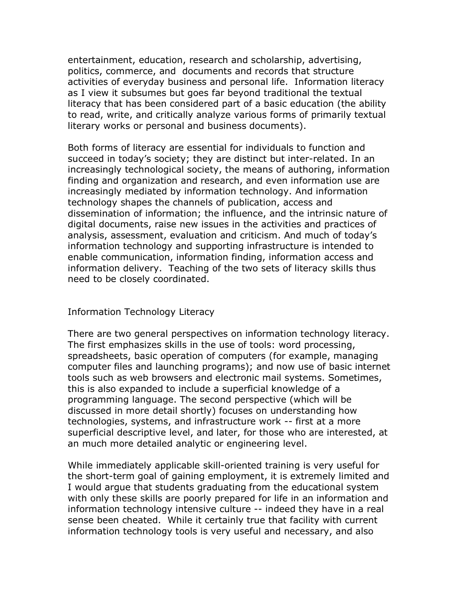entertainment, education, research and scholarship, advertising, politics, commerce, and documents and records that structure activities of everyday business and personal life. Information literacy as I view it subsumes but goes far beyond traditional the textual literacy that has been considered part of a basic education (the ability to read, write, and critically analyze various forms of primarily textual literary works or personal and business documents).

Both forms of literacy are essential for individuals to function and succeed in today's society; they are distinct but inter-related. In an increasingly technological society, the means of authoring, information finding and organization and research, and even information use are increasingly mediated by information technology. And information technology shapes the channels of publication, access and dissemination of information; the influence, and the intrinsic nature of digital documents, raise new issues in the activities and practices of analysis, assessment, evaluation and criticism. And much of today's information technology and supporting infrastructure is intended to enable communication, information finding, information access and information delivery. Teaching of the two sets of literacy skills thus need to be closely coordinated.

## Information Technology Literacy

There are two general perspectives on information technology literacy. The first emphasizes skills in the use of tools: word processing, spreadsheets, basic operation of computers (for example, managing computer files and launching programs); and now use of basic internet tools such as web browsers and electronic mail systems. Sometimes, this is also expanded to include a superficial knowledge of a programming language. The second perspective (which will be discussed in more detail shortly) focuses on understanding how technologies, systems, and infrastructure work -- first at a more superficial descriptive level, and later, for those who are interested, at an much more detailed analytic or engineering level.

While immediately applicable skill-oriented training is very useful for the short-term goal of gaining employment, it is extremely limited and I would argue that students graduating from the educational system with only these skills are poorly prepared for life in an information and information technology intensive culture -- indeed they have in a real sense been cheated. While it certainly true that facility with current information technology tools is very useful and necessary, and also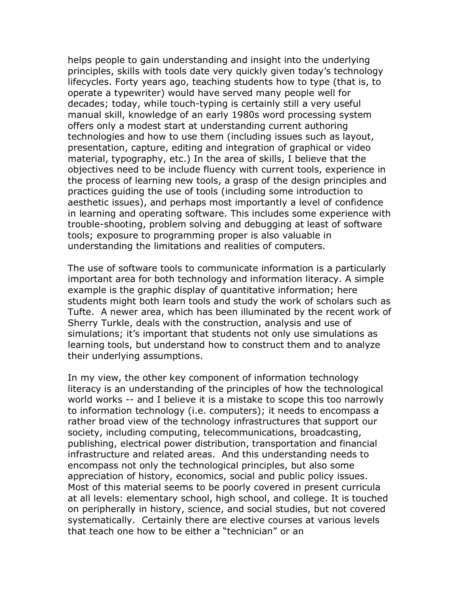helps people to gain understanding and insight into the underlying principles, skills with tools date very quickly given today's technology lifecycles. Forty years ago, teaching students how to type (that is, to operate a typewriter) would have served many people well for decades; today, while touch-typing is certainly still a very useful manual skill, knowledge of an early 1980s word processing system offers only a modest start at understanding current authoring technologies and how to use them (including issues such as layout, presentation, capture, editing and integration of graphical or video material, typography, etc.) In the area of skills, I believe that the objectives need to be include fluency with current tools, experience in the process of learning new tools, a grasp of the design principles and practices guiding the use of tools (including some introduction to aesthetic issues), and perhaps most importantly a level of confidence in learning and operating software. This includes some experience with trouble-shooting, problem solving and debugging at least of software tools; exposure to programming proper is also valuable in understanding the limitations and realities of computers.

The use of software tools to communicate information is a particularly important area for both technology and information literacy. A simple example is the graphic display of quantitative information; here students might both learn tools and study the work of scholars such as Tufte. A newer area, which has been illuminated by the recent work of Sherry Turkle, deals with the construction, analysis and use of simulations; it's important that students not only use simulations as learning tools, but understand how to construct them and to analyze their underlying assumptions.

In my view, the other key component of information technology literacy is an understanding of the principles of how the technological world works -- and I believe it is a mistake to scope this too narrowly to information technology (i.e. computers); it needs to encompass a rather broad view of the technology infrastructures that support our society, including computing, telecommunications, broadcasting, publishing, electrical power distribution, transportation and financial infrastructure and related areas. And this understanding needs to encompass not only the technological principles, but also some appreciation of history, economics, social and public policy issues. Most of this material seems to be poorly covered in present curricula at all levels: elementary school, high school, and college. It is touched on peripherally in history, science, and social studies, but not covered systematically. Certainly there are elective courses at various levels that teach one how to be either a "technician" or an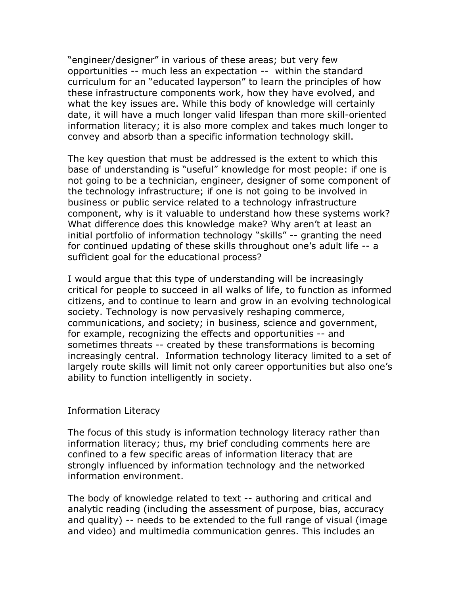"engineer/designer" in various of these areas; but very few opportunities -- much less an expectation -- within the standard curriculum for an "educated layperson" to learn the principles of how these infrastructure components work, how they have evolved, and what the key issues are. While this body of knowledge will certainly date, it will have a much longer valid lifespan than more skill-oriented information literacy; it is also more complex and takes much longer to convey and absorb than a specific information technology skill.

The key question that must be addressed is the extent to which this base of understanding is "useful" knowledge for most people: if one is not going to be a technician, engineer, designer of some component of the technology infrastructure; if one is not going to be involved in business or public service related to a technology infrastructure component, why is it valuable to understand how these systems work? What difference does this knowledge make? Why aren't at least an initial portfolio of information technology "skills" -- granting the need for continued updating of these skills throughout one's adult life -- a sufficient goal for the educational process?

I would argue that this type of understanding will be increasingly critical for people to succeed in all walks of life, to function as informed citizens, and to continue to learn and grow in an evolving technological society. Technology is now pervasively reshaping commerce, communications, and society; in business, science and government, for example, recognizing the effects and opportunities -- and sometimes threats -- created by these transformations is becoming increasingly central. Information technology literacy limited to a set of largely route skills will limit not only career opportunities but also one's ability to function intelligently in society.

## Information Literacy

The focus of this study is information technology literacy rather than information literacy; thus, my brief concluding comments here are confined to a few specific areas of information literacy that are strongly influenced by information technology and the networked information environment.

The body of knowledge related to text -- authoring and critical and analytic reading (including the assessment of purpose, bias, accuracy and quality) -- needs to be extended to the full range of visual (image and video) and multimedia communication genres. This includes an